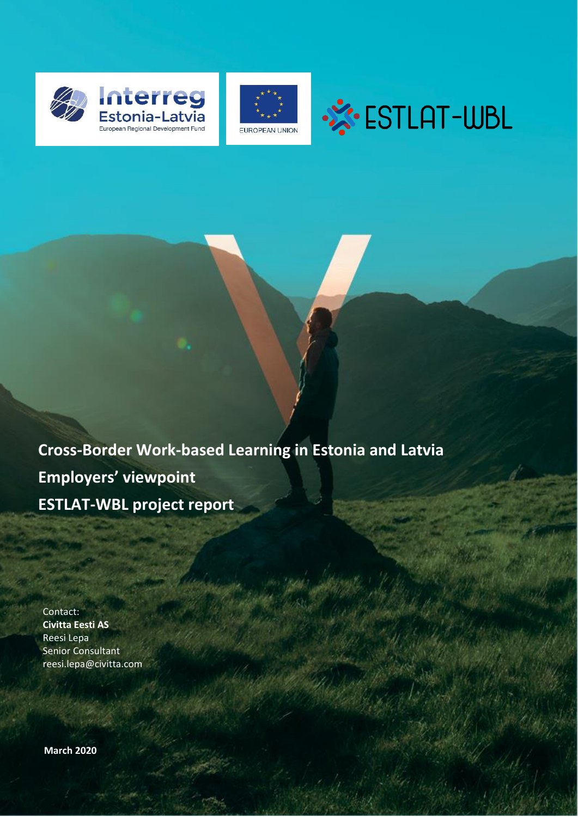





**Cross-Border Work-based Learning in Estonia and Latvia Employers' viewpoint ESTLAT-WBL project report**

Contact: **Civitta Eesti AS** Reesi Lepa Senior Consultant reesi.lepa@civitta.com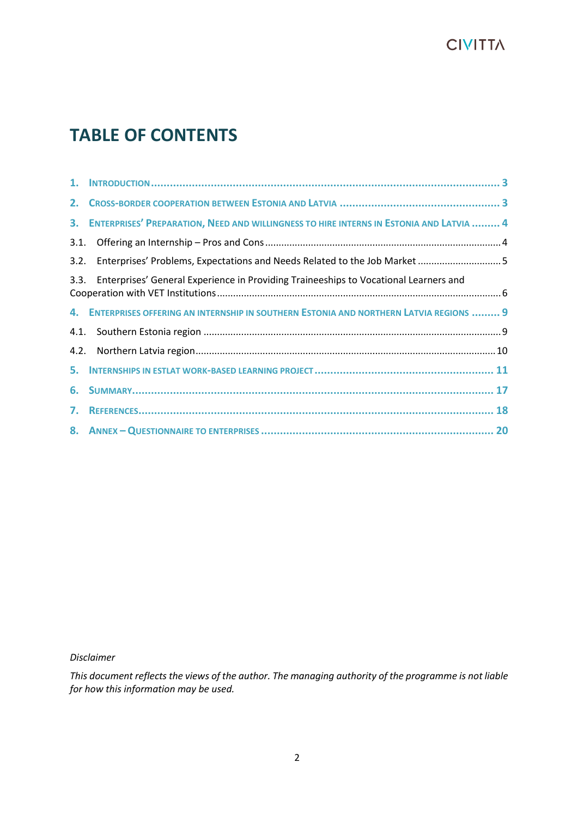# **TABLE OF CONTENTS**

|      | 3. ENTERPRISES' PREPARATION, NEED AND WILLINGNESS TO HIRE INTERNS IN ESTONIA AND LATVIA  4 |  |
|------|--------------------------------------------------------------------------------------------|--|
| 3.1. |                                                                                            |  |
| 3.2. | Enterprises' Problems, Expectations and Needs Related to the Job Market  5                 |  |
| 3.3. | Enterprises' General Experience in Providing Traineeships to Vocational Learners and       |  |
|      | 4. ENTERPRISES OFFERING AN INTERNSHIP IN SOUTHERN ESTONIA AND NORTHERN LATVIA REGIONS  9   |  |
|      |                                                                                            |  |
| 4.2. |                                                                                            |  |
|      |                                                                                            |  |
|      |                                                                                            |  |
|      |                                                                                            |  |
|      |                                                                                            |  |
|      |                                                                                            |  |

*Disclaimer*

*This document reflects the views of the author. The managing authority of the programme is not liable for how this information may be used.*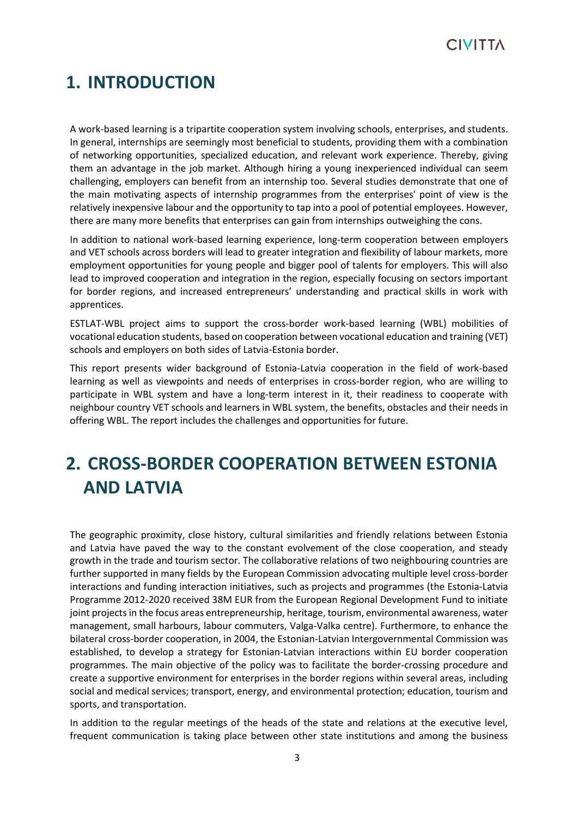

## <span id="page-2-0"></span>**1. INTRODUCTION**

A work-based learning is a tripartite cooperation system involving schools, enterprises, and students. In general, internships are seemingly most beneficial to students, providing them with a combination of networking opportunities, specialized education, and relevant work experience. Thereby, giving them an advantage in the job market. Although hiring a young inexperienced individual can seem challenging, employers can benefit from an internship too. Several studies demonstrate that one of the main motivating aspects of internship programmes from the enterprises' point of view is the relatively inexpensive labour and the opportunity to tap into a pool of potential employees. However, there are many more benefits that enterprises can gain from internships outweighing the cons.

In addition to national work-based learning experience, long-term cooperation between employers and VET schools across borders will lead to greater integration and flexibility of labour markets, more employment opportunities for young people and bigger pool of talents for employers. This will also lead to improved cooperation and integration in the region, especially focusing on sectors important for border regions, and increased entrepreneurs' understanding and practical skills in work with apprentices.

ESTLAT-WBL project aims to support the cross-border work-based learning (WBL) mobilities of vocational education students, based on cooperation between vocational education and training (VET) schools and employers on both sides of Latvia-Estonia border.

This report presents wider background of Estonia-Latvia cooperation in the field of work-based learning as well as viewpoints and needs of enterprises in cross-border region, who are willing to participate in WBL system and have a long-term interest in it, their readiness to cooperate with neighbour country VET schools and learners in WBL system, the benefits, obstacles and their needs in offering WBL. The report includes the challenges and opportunities for future.

# <span id="page-2-1"></span>**2. CROSS-BORDER COOPERATION BETWEEN ESTONIA AND LATVIA**

The geographic proximity, close history, cultural similarities and friendly relations between Estonia and Latvia have paved the way to the constant evolvement of the close cooperation, and steady growth in the trade and tourism sector. The collaborative relations of two neighbouring countries are further supported in many fields by the European Commission advocating multiple level cross-border interactions and funding interaction initiatives, such as projects and programmes (the Estonia-Latvia Programme 2012-2020 received 38M EUR from the European Regional Development Fund to initiate joint projects in the focus areas entrepreneurship, heritage, tourism, environmental awareness, water management, small harbours, labour commuters, Valga-Valka centre). Furthermore, to enhance the bilateral cross-border cooperation, in 2004, the Estonian-Latvian Intergovernmental Commission was established, to develop a strategy for Estonian-Latvian interactions within EU border cooperation programmes. The main objective of the policy was to facilitate the border-crossing procedure and create a supportive environment for enterprises in the border regions within several areas, including social and medical services; transport, energy, and environmental protection; education, tourism and sports, and transportation.

In addition to the regular meetings of the heads of the state and relations at the executive level, frequent communication is taking place between other state institutions and among the business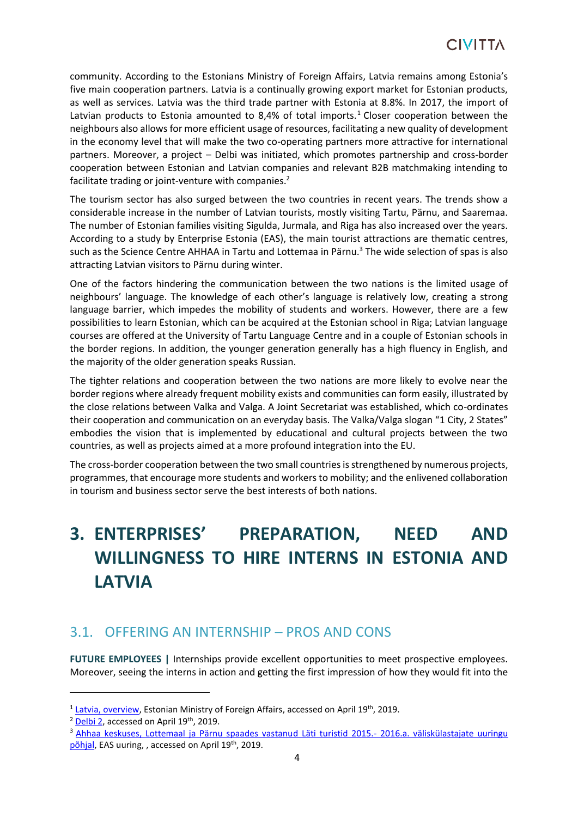community. According to the Estonians Ministry of Foreign Affairs, Latvia remains among Estonia's five main cooperation partners. Latvia is a continually growing export market for Estonian products, as well as services. Latvia was the third trade partner with Estonia at 8.8%. In 2017, the import of Latvian products to Estonia amounted to 8,4% of total imports.<sup>1</sup> Closer cooperation between the neighbours also allows for more efficient usage of resources, facilitating a new quality of development in the economy level that will make the two co-operating partners more attractive for international partners. Moreover, a project – Delbi was initiated, which promotes partnership and cross-border cooperation between Estonian and Latvian companies and relevant B2B matchmaking intending to facilitate trading or joint-venture with companies.<sup>2</sup>

The tourism sector has also surged between the two countries in recent years. The trends show a considerable increase in the number of Latvian tourists, mostly visiting Tartu, Pärnu, and Saaremaa. The number of Estonian families visiting Sigulda, Jurmala, and Riga has also increased over the years. According to a study by Enterprise Estonia (EAS), the main tourist attractions are thematic centres, such as the Science Centre AHHAA in Tartu and Lottemaa in Pärnu.<sup>3</sup> The wide selection of spas is also attracting Latvian visitors to Pärnu during winter.

One of the factors hindering the communication between the two nations is the limited usage of neighbours' language. The knowledge of each other's language is relatively low, creating a strong language barrier, which impedes the mobility of students and workers. However, there are a few possibilities to learn Estonian, which can be acquired at the Estonian school in Riga; Latvian language courses are offered at the University of Tartu Language Centre and in a couple of Estonian schools in the border regions. In addition, the younger generation generally has a high fluency in English, and the majority of the older generation speaks Russian.

The tighter relations and cooperation between the two nations are more likely to evolve near the border regions where already frequent mobility exists and communities can form easily, illustrated by the close relations between Valka and Valga. A Joint Secretariat was established, which co-ordinates their cooperation and communication on an everyday basis. The Valka/Valga slogan "1 City, 2 States" embodies the vision that is implemented by educational and cultural projects between the two countries, as well as projects aimed at a more profound integration into the EU.

The cross-border cooperation between the two small countries is strengthened by numerous projects, programmes, that encourage more students and workers to mobility; and the enlivened collaboration in tourism and business sector serve the best interests of both nations.

# <span id="page-3-0"></span>**3. ENTERPRISES' PREPARATION, NEED AND WILLINGNESS TO HIRE INTERNS IN ESTONIA AND LATVIA**

### <span id="page-3-1"></span>3.1. OFFERING AN INTERNSHIP – PROS AND CONS

**FUTURE EMPLOYEES |** Internships provide excellent opportunities to meet prospective employees. Moreover, seeing the interns in action and getting the first impression of how they would fit into the

<sup>3</sup> [Ahhaa keskuses, Lottemaal ja Pärnu spaades vastanud Läti turistid 2015.-](https://static2.visitestonia.com/docs/3112794_vk-uuring2015-2016-lati-turistid.pdf) 2016.a. väliskülastajate uuringu [põhjal,](https://static2.visitestonia.com/docs/3112794_vk-uuring2015-2016-lati-turistid.pdf) EAS uuring, , accessed on April 19<sup>th</sup>, 2019.

<sup>&</sup>lt;sup>1</sup> [Latvia, overview,](https://vm.ee/en/countries/latvia?display=relations) Estonian Ministry of Foreign Affairs, accessed on April 19<sup>th</sup>, 2019.

<sup>&</sup>lt;sup>2</sup> Delbi<sub>2</sub>, accessed on April 19<sup>th</sup>, 2019.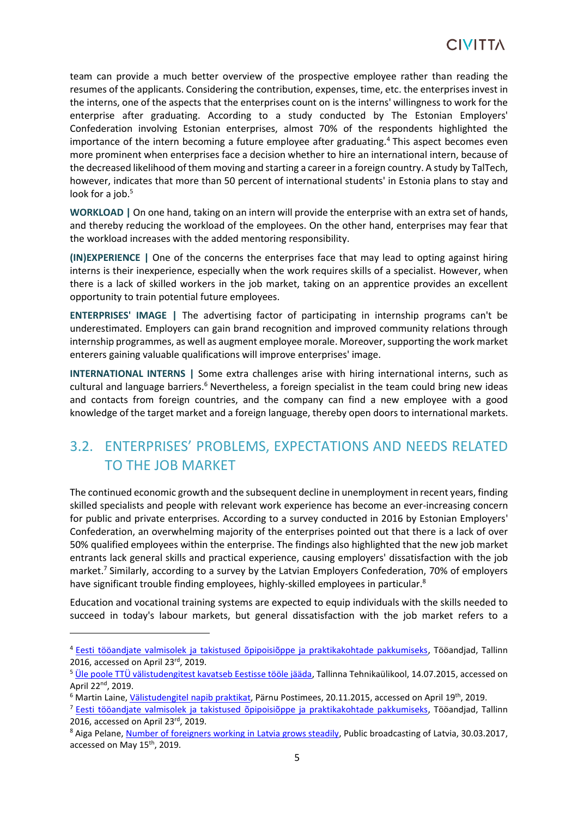team can provide a much better overview of the prospective employee rather than reading the resumes of the applicants. Considering the contribution, expenses, time, etc. the enterprises invest in the interns, one of the aspects that the enterprises count on is the interns' willingness to work for the enterprise after graduating. According to a study conducted by The Estonian Employers' Confederation involving Estonian enterprises, almost 70% of the respondents highlighted the importance of the intern becoming a future employee after graduating.<sup>4</sup> This aspect becomes even more prominent when enterprises face a decision whether to hire an international intern, because of the decreased likelihood of them moving and starting a career in a foreign country. A study by TalTech, however, indicates that more than 50 percent of international students' in Estonia plans to stay and look for a job.<sup>5</sup>

**WORKLOAD |** On one hand, taking on an intern will provide the enterprise with an extra set of hands, and thereby reducing the workload of the employees. On the other hand, enterprises may fear that the workload increases with the added mentoring responsibility.

**(IN)EXPERIENCE |** One of the concerns the enterprises face that may lead to opting against hiring interns is their inexperience, especially when the work requires skills of a specialist. However, when there is a lack of skilled workers in the job market, taking on an apprentice provides an excellent opportunity to train potential future employees.

**ENTERPRISES' IMAGE |** The advertising factor of participating in internship programs can't be underestimated. Employers can gain brand recognition and improved community relations through internship programmes, as well as augment employee morale. Moreover, supporting the work market enterers gaining valuable qualifications will improve enterprises' image.

**INTERNATIONAL INTERNS |** Some extra challenges arise with hiring international interns, such as cultural and language barriers.<sup>6</sup> Nevertheless, a foreign specialist in the team could bring new ideas and contacts from foreign countries, and the company can find a new employee with a good knowledge of the target market and a foreign language, thereby open doors to international markets.

## <span id="page-4-0"></span>3.2. ENTERPRISES' PROBLEMS, EXPECTATIONS AND NEEDS RELATED TO THE JOB MARKET

The continued economic growth and the subsequent decline in unemployment in recent years, finding skilled specialists and people with relevant work experience has become an ever-increasing concern for public and private enterprises. According to a survey conducted in 2016 by Estonian Employers' Confederation, an overwhelming majority of the enterprises pointed out that there is a lack of over 50% qualified employees within the enterprise. The findings also highlighted that the new job market entrants lack general skills and practical experience, causing employers' dissatisfaction with the job market.<sup>7</sup> Similarly, according to a survey by the Latvian Employers Confederation, 70% of employers have significant trouble finding employees, highly-skilled employees in particular.<sup>8</sup>

Education and vocational training systems are expected to equip individuals with the skills needed to succeed in today's labour markets, but general dissatisfaction with the job market refers to a

<sup>4</sup> [Eesti tööandjate valmisolek ja takistused õpipoisiõppe ja praktikakohtade pakkumiseks,](https://www.employers.ee/wp-content/uploads/Ettev%C3%B5tjate-k%C3%BCsitlus-praktika-ja-%C3%B5pipoisi%C3%B5pe-2016-3.pdf) Tööandjad, Tallinn 2016, accessed on April 23rd, 2019.

<sup>&</sup>lt;sup>5</sup> [Üle poole TTÜ välistudengitest kavatseb Eestisse tööle jääda,](https://www.taltech.ee/ttu-uudised/uudised/avaleht-8/ule-poole-ttu-valistudengitest-kavatseb-eestisse-toole-jaada/) Tallinna Tehnikaülikool, 14.07.2015, accessed on April 22nd, 2019.

<sup>6</sup> Martin Laine, [Välistudengitel napib praktikat,](https://www.ph.ee/koik-uudised/valistudengitel-napib-praktikat-620) Pärnu Postimees, 20.11.2015, accessed on April 19th, 2019.

<sup>7</sup> [Eesti tööandjate valmisolek ja takistused õpipoisiõppe ja praktikakohtade pakkumiseks,](https://www.employers.ee/wp-content/uploads/Ettev%C3%B5tjate-k%C3%BCsitlus-praktika-ja-%C3%B5pipoisi%C3%B5pe-2016-3.pdf) Tööandjad, Tallinn 2016, accessed on April 23rd, 2019.

<sup>&</sup>lt;sup>8</sup> Aiga Pelane[, Number of foreigners working in Latvia grows steadily,](https://eng.lsm.lv/article/economy/economy/number-of-foreigners-working-in-latvia-grows-steadily.a230436/) Public broadcasting of Latvia, 30.03.2017, accessed on May 15<sup>th</sup>, 2019.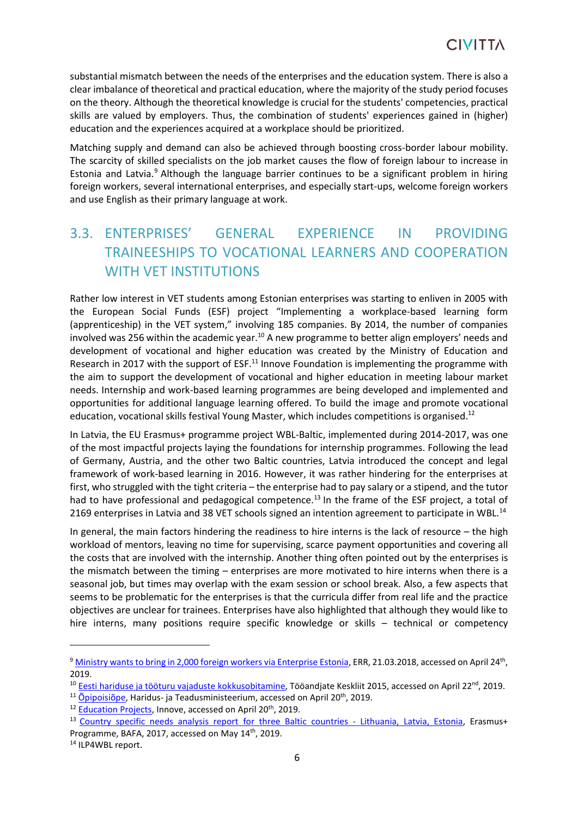substantial mismatch between the needs of the enterprises and the education system. There is also a clear imbalance of theoretical and practical education, where the majority of the study period focuses on the theory. Although the theoretical knowledge is crucial for the students' competencies, practical skills are valued by employers. Thus, the combination of students' experiences gained in (higher) education and the experiences acquired at a workplace should be prioritized.

Matching supply and demand can also be achieved through boosting cross-border labour mobility. The scarcity of skilled specialists on the job market causes the flow of foreign labour to increase in Estonia and Latvia.<sup>9</sup> Although the language barrier continues to be a significant problem in hiring foreign workers, several international enterprises, and especially start-ups, welcome foreign workers and use English as their primary language at work.

## <span id="page-5-0"></span>3.3. ENTERPRISES' GENERAL EXPERIENCE IN PROVIDING TRAINEESHIPS TO VOCATIONAL LEARNERS AND COOPERATION WITH VET INSTITUTIONS

Rather low interest in VET students among Estonian enterprises was starting to enliven in 2005 with the European Social Funds (ESF) project "Implementing a workplace-based learning form (apprenticeship) in the VET system," involving 185 companies. By 2014, the number of companies involved was 256 within the academic year.<sup>10</sup> A new programme to better align employers' needs and development of vocational and higher education was created by the Ministry of Education and Research in 2017 with the support of  $ESF<sup>11</sup>$  Innove Foundation is implementing the programme with the aim to support the development of vocational and higher education in meeting labour market needs. Internship and work-based learning programmes are being developed and implemented and opportunities for additional language learning offered. To build the image and promote vocational education, vocational skills festival Young Master, which includes competitions is organised.<sup>12</sup>

In Latvia, the EU Erasmus+ programme project WBL-Baltic, implemented during 2014-2017, was one of the most impactful projects laying the foundations for internship programmes. Following the lead of Germany, Austria, and the other two Baltic countries, Latvia introduced the concept and legal framework of work-based learning in 2016. However, it was rather hindering for the enterprises at first, who struggled with the tight criteria – the enterprise had to pay salary or a stipend, and the tutor had to have professional and pedagogical competence.<sup>13</sup> In the frame of the ESF project, a total of 2169 enterprises in Latvia and 38 VET schools signed an intention agreement to participate in WBL.<sup>14</sup>

In general, the main factors hindering the readiness to hire interns is the lack of resource – the high workload of mentors, leaving no time for supervising, scarce payment opportunities and covering all the costs that are involved with the internship. Another thing often pointed out by the enterprises is the mismatch between the timing – enterprises are more motivated to hire interns when there is a seasonal job, but times may overlap with the exam session or school break. Also, a few aspects that seems to be problematic for the enterprises is that the curricula differ from real life and the practice objectives are unclear for trainees. Enterprises have also highlighted that although they would like to hire interns, many positions require specific knowledge or skills – technical or competency

<sup>&</sup>lt;sup>9</sup> Ministry wants to bring in 2,000 [foreign workers via Enterprise Estonia,](https://news.err.ee/691051/ministry-wants-to-bring-in-2-000-foreign-workers-via-enterprise-estonia) ERR, 21.03.2018, accessed on April 24<sup>th</sup>, 2019.

<sup>&</sup>lt;sup>10</sup> [Eesti hariduse ja tööturu vajaduste kokkusobitamine,](https://www.employers.ee/wp-content/uploads/images_pdf_EESTI_HARIDUSE_JA_TOOTURU_VAJADUSTE_KOKKUSOBITAMINE.pdf) Tööandjate Keskliit 2015, accessed on April 22<sup>nd</sup>, 2019.

 $11$  [Õpipoisiõpe,](https://www.hm.ee/et/opipoiss) Haridus- ja Teadusministeerium, accessed on April 20<sup>th</sup>, 2019.

<sup>&</sup>lt;sup>12</sup> [Education Projects,](https://www.innove.ee/en/education-projects/) Innove, accessed on April 20<sup>th</sup>, 2019.

<sup>&</sup>lt;sup>13</sup> [Country specific needs analysis report](https://www.kpmpc.lt/kpmpc/wp-content/uploads/2017/03/Need-Analysis-19-06-2017.pdf) for three Baltic countries - Lithuania, Latvia, Estonia, Erasmus+ Programme, BAFA, 2017, accessed on May 14<sup>th</sup>, 2019.

<sup>14</sup> ILP4WBL report.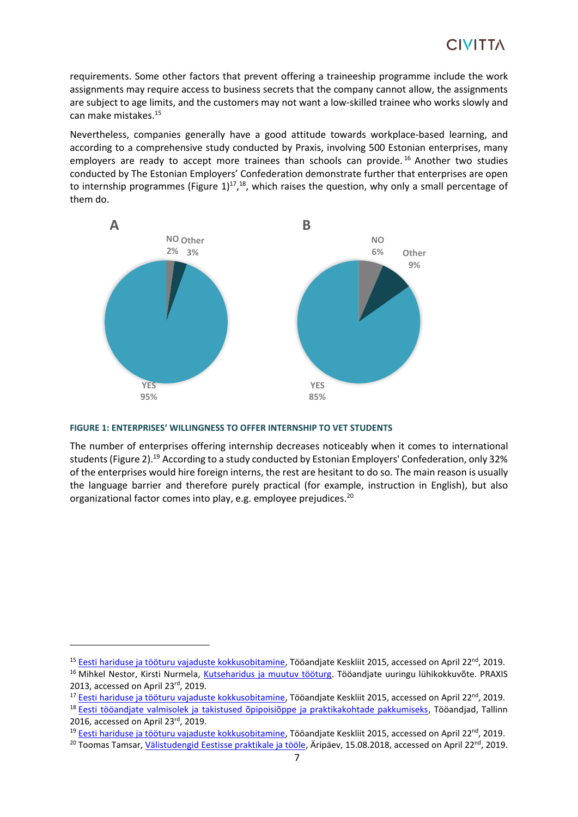requirements. Some other factors that prevent offering a traineeship programme include the work assignments may require access to business secrets that the company cannot allow, the assignments are subject to age limits, and the customers may not want a low-skilled trainee who works slowly and can make mistakes.<sup>15</sup>

Nevertheless, companies generally have a good attitude towards workplace-based learning, and according to a comprehensive study conducted by Praxis, involving 500 Estonian enterprises, many employers are ready to accept more trainees than schools can provide.<sup>16</sup> Another two studies conducted by The Estonian Employers' Confederation demonstrate further that enterprises are open to internship programmes (Figure  $1)^{17}$ ,<sup>18</sup>, which raises the question, why only a small percentage of them do.



#### **FIGURE 1: ENTERPRISES' WILLINGNESS TO OFFER INTERNSHIP TO VET STUDENTS**

The number of enterprises offering internship decreases noticeably when it comes to international students (Figure 2).<sup>19</sup> According to a study conducted by Estonian Employers' Confederation, only 32% of the enterprises would hire foreign interns, the rest are hesitant to do so. The main reason is usually the language barrier and therefore purely practical (for example, instruction in English), but also organizational factor comes into play, e.g. employee prejudices.<sup>20</sup>

<sup>19</sup> [Eesti hariduse ja tööturu vajaduste kokkusobitamine,](https://www.employers.ee/wp-content/uploads/images_pdf_EESTI_HARIDUSE_JA_TOOTURU_VAJADUSTE_KOKKUSOBITAMINE.pdf) Tööandjate Keskliit 2015, accessed on April 22<sup>nd</sup>, 2019.

<sup>&</sup>lt;sup>15</sup> [Eesti hariduse ja tööturu vajaduste kokkusobitamine,](https://www.employers.ee/wp-content/uploads/images_pdf_EESTI_HARIDUSE_JA_TOOTURU_VAJADUSTE_KOKKUSOBITAMINE.pdf) Tööandjate Keskliit 2015, accessed on April 22<sup>nd</sup>, 2019. <sup>16</sup> Mihkel Nestor, Kirsti Nurmela, [Kutseharidus ja muutuv tööturg.](http://www.praxis.ee/wp-content/uploads/2014/03/Kutseharidus-ja-muutuv-t%C3%B6%C3%B6turg.-T%C3%B6%C3%B6andjate-uuringu-l%C3%BChiversioon.pdf) Tööandjate uuringu lühikokkuvõte. PRAXIS

<sup>2013,</sup> accessed on April 23rd, 2019.

<sup>&</sup>lt;sup>17</sup> [Eesti hariduse ja tööturu vajaduste kokkusobitamine,](https://www.employers.ee/wp-content/uploads/images_pdf_EESTI_HARIDUSE_JA_TOOTURU_VAJADUSTE_KOKKUSOBITAMINE.pdf) Tööandiate Keskliit 2015. accessed on April 22<sup>nd</sup>, 2019.

<sup>&</sup>lt;sup>18</sup> [Eesti tööandjate valmisolek ja takistused õpipoisiõppe ja praktikakohtade pakkumiseks,](https://www.employers.ee/wp-content/uploads/Ettev%C3%B5tjate-k%C3%BCsitlus-praktika-ja-%C3%B5pipoisi%C3%B5pe-2016-3.pdf) Tööandjad, Tallinn 2016, accessed on April 23rd, 2019.

<sup>&</sup>lt;sup>20</sup> [Toomas Tamsar,](https://www.aripaev.ee/a/toomas-tamsar) [Välistudengid Eestisse praktikale ja tööle,](https://www.aripaev.ee/arvamused/2018/08/15/toomas-tamsar-valistudengid-eestisse-praktikale-ja-toole) Äripäev, 15.08.2018, accessed on April 22<sup>nd</sup>, 2019.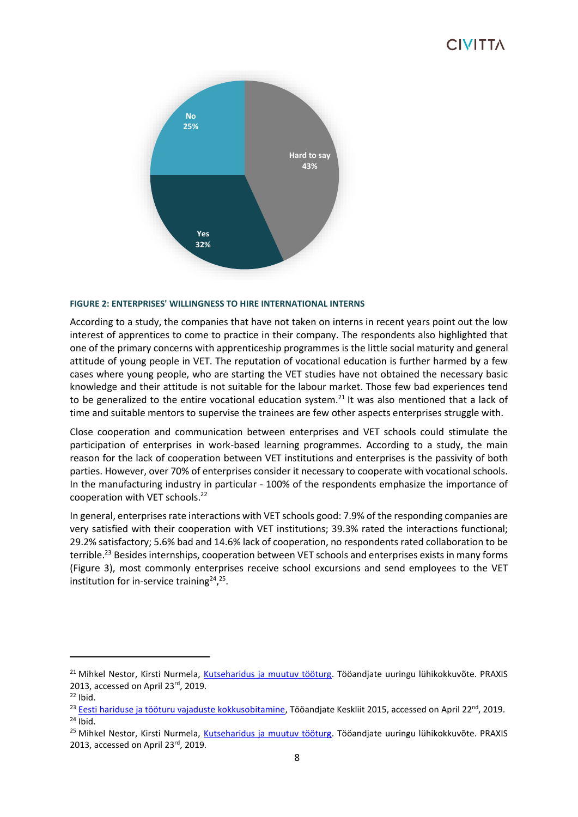

#### **FIGURE 2: ENTERPRISES' WILLINGNESS TO HIRE INTERNATIONAL INTERNS**

According to a study, the companies that have not taken on interns in recent years point out the low interest of apprentices to come to practice in their company. The respondents also highlighted that one of the primary concerns with apprenticeship programmes is the little social maturity and general attitude of young people in VET. The reputation of vocational education is further harmed by a few cases where young people, who are starting the VET studies have not obtained the necessary basic knowledge and their attitude is not suitable for the labour market. Those few bad experiences tend to be generalized to the entire vocational education system.<sup>21</sup> It was also mentioned that a lack of time and suitable mentors to supervise the trainees are few other aspects enterprises struggle with.

Close cooperation and communication between enterprises and VET schools could stimulate the participation of enterprises in work-based learning programmes. According to a study, the main reason for the lack of cooperation between VET institutions and enterprises is the passivity of both parties. However, over 70% of enterprises consider it necessary to cooperate with vocational schools. In the manufacturing industry in particular - 100% of the respondents emphasize the importance of cooperation with VET schools.<sup>22</sup>

In general, enterprises rate interactions with VET schools good: 7.9% of the responding companies are very satisfied with their cooperation with VET institutions; 39.3% rated the interactions functional; 29.2% satisfactory; 5.6% bad and 14.6% lack of cooperation, no respondents rated collaboration to be terrible.<sup>23</sup> Besides internships, cooperation between VET schools and enterprises exists in many forms (Figure 3), most commonly enterprises receive school excursions and send employees to the VET institution for in-service training<sup>24</sup>,<sup>25</sup>.

<sup>&</sup>lt;sup>21</sup> Mihkel Nestor, Kirsti Nurmela, [Kutseharidus ja muutuv tööturg.](http://www.praxis.ee/wp-content/uploads/2014/03/Kutseharidus-ja-muutuv-t%C3%B6%C3%B6turg.-T%C3%B6%C3%B6andjate-uuringu-l%C3%BChiversioon.pdf) Tööandjate uuringu lühikokkuvõte. PRAXIS 2013, accessed on April 23rd, 2019.

 $22$  Ibid.

<sup>&</sup>lt;sup>23</sup> [Eesti hariduse ja tööturu vajaduste kokkusobitamine,](https://www.employers.ee/wp-content/uploads/images_pdf_EESTI_HARIDUSE_JA_TOOTURU_VAJADUSTE_KOKKUSOBITAMINE.pdf) Tööandjate Keskliit 2015, accessed on April 22<sup>nd</sup>, 2019.  $24$  Ibid.

<sup>&</sup>lt;sup>25</sup> Mihkel Nestor, Kirsti Nurmela, [Kutseharidus ja muutuv tööturg.](http://www.praxis.ee/wp-content/uploads/2014/03/Kutseharidus-ja-muutuv-t%C3%B6%C3%B6turg.-T%C3%B6%C3%B6andjate-uuringu-l%C3%BChiversioon.pdf) Tööandjate uuringu lühikokkuvõte. PRAXIS 2013, accessed on April 23rd, 2019.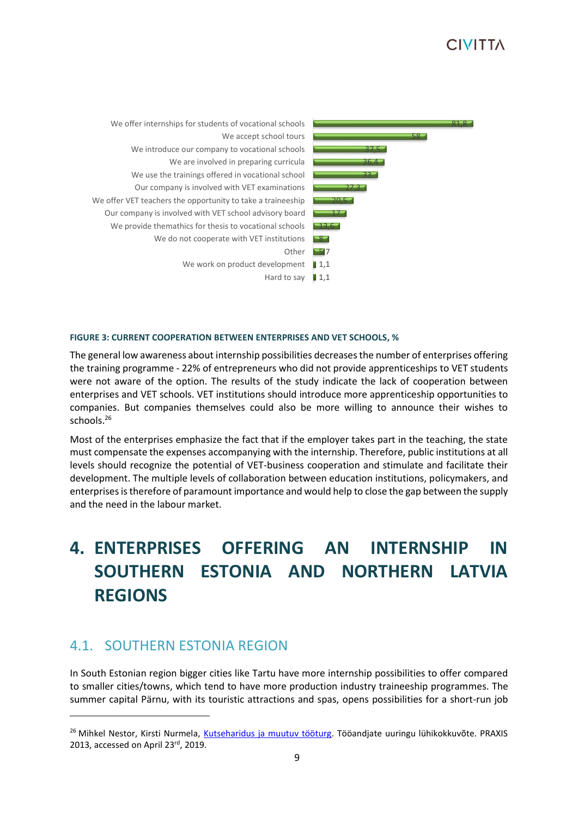

#### **FIGURE 3: CURRENT COOPERATION BETWEEN ENTERPRISES AND VET SCHOOLS, %**

The general low awareness about internship possibilities decreases the number of enterprises offering the training programme - 22% of entrepreneurs who did not provide apprenticeships to VET students were not aware of the option. The results of the study indicate the lack of cooperation between enterprises and VET schools. VET institutions should introduce more apprenticeship opportunities to companies. But companies themselves could also be more willing to announce their wishes to schools.<sup>26</sup>

Most of the enterprises emphasize the fact that if the employer takes part in the teaching, the state must compensate the expenses accompanying with the internship. Therefore, public institutions at all levels should recognize the potential of VET-business cooperation and stimulate and facilitate their development. The multiple levels of collaboration between education institutions, policymakers, and enterprises is therefore of paramount importance and would help to close the gap between the supply and the need in the labour market.

# <span id="page-8-0"></span>**4. ENTERPRISES OFFERING AN INTERNSHIP IN SOUTHERN ESTONIA AND NORTHERN LATVIA REGIONS**

### <span id="page-8-1"></span>4.1. SOUTHERN ESTONIA REGION

In South Estonian region bigger cities like Tartu have more internship possibilities to offer compared to smaller cities/towns, which tend to have more production industry traineeship programmes. The summer capital Pärnu, with its touristic attractions and spas, opens possibilities for a short-run job

<sup>&</sup>lt;sup>26</sup> Mihkel Nestor, Kirsti Nurmela, [Kutseharidus ja muutuv tööturg.](http://www.praxis.ee/wp-content/uploads/2014/03/Kutseharidus-ja-muutuv-t%C3%B6%C3%B6turg.-T%C3%B6%C3%B6andjate-uuringu-l%C3%BChiversioon.pdf) Tööandjate uuringu lühikokkuvõte. PRAXIS 2013, accessed on April 23rd, 2019.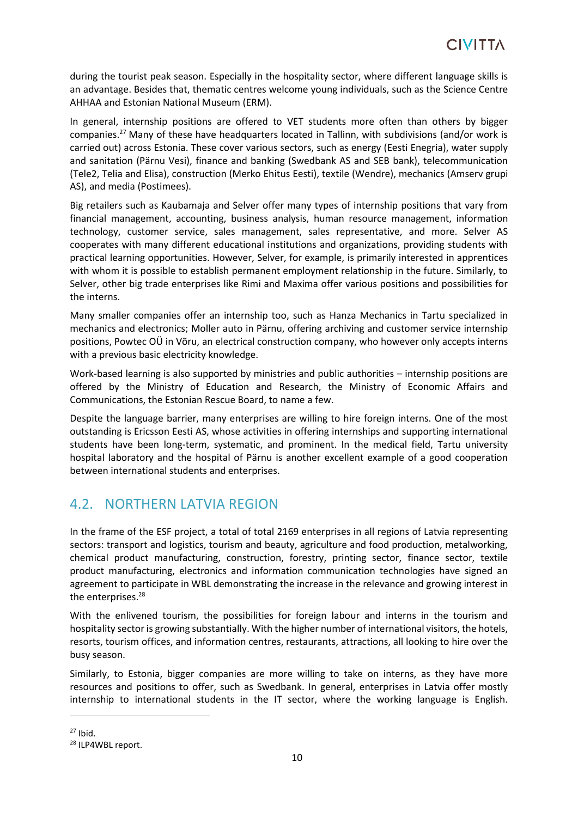during the tourist peak season. Especially in the hospitality sector, where different language skills is an advantage. Besides that, thematic centres welcome young individuals, such as the Science Centre AHHAA and Estonian National Museum (ERM).

In general, internship positions are offered to VET students more often than others by bigger companies.<sup>27</sup> Many of these have headquarters located in Tallinn, with subdivisions (and/or work is carried out) across Estonia. These cover various sectors, such as energy (Eesti Enegria), water supply and sanitation (Pärnu Vesi), finance and banking (Swedbank AS and SEB bank), telecommunication (Tele2, Telia and Elisa), construction (Merko Ehitus Eesti), textile (Wendre), mechanics (Amserv grupi AS), and media (Postimees).

Big retailers such as Kaubamaja and Selver offer many types of internship positions that vary from financial management, accounting, business analysis, human resource management, information technology, customer service, sales management, sales representative, and more. Selver AS cooperates with many different educational institutions and organizations, providing students with practical learning opportunities. However, Selver, for example, is primarily interested in apprentices with whom it is possible to establish permanent employment relationship in the future. Similarly, to Selver, other big trade enterprises like Rimi and Maxima offer various positions and possibilities for the interns.

Many smaller companies offer an internship too, such as Hanza Mechanics in Tartu specialized in mechanics and electronics; Moller auto in Pärnu, offering archiving and customer service internship positions, Powtec OÜ in Võru, an electrical construction company, who however only accepts interns with a previous basic electricity knowledge.

Work-based learning is also supported by ministries and public authorities – internship positions are offered by the Ministry of Education and Research, the Ministry of Economic Affairs and Communications, the Estonian Rescue Board, to name a few.

Despite the language barrier, many enterprises are willing to hire foreign interns. One of the most outstanding is Ericsson Eesti AS, whose activities in offering internships and supporting international students have been long-term, systematic, and prominent. In the medical field, Tartu university hospital laboratory and the hospital of Pärnu is another excellent example of a good cooperation between international students and enterprises.

## <span id="page-9-0"></span>4.2. NORTHERN LATVIA REGION

In the frame of the ESF project, a total of total 2169 enterprises in all regions of Latvia representing sectors: transport and logistics, tourism and beauty, agriculture and food production, metalworking, chemical product manufacturing, construction, forestry, printing sector, finance sector, textile product manufacturing, electronics and information communication technologies have signed an agreement to participate in WBL demonstrating the increase in the relevance and growing interest in the enterprises.<sup>28</sup>

With the enlivened tourism, the possibilities for foreign labour and interns in the tourism and hospitality sector is growing substantially. With the higher number of international visitors, the hotels, resorts, tourism offices, and information centres, restaurants, attractions, all looking to hire over the busy season.

Similarly, to Estonia, bigger companies are more willing to take on interns, as they have more resources and positions to offer, such as Swedbank. In general, enterprises in Latvia offer mostly internship to international students in the IT sector, where the working language is English.

 $27$  Ibid.

<sup>28</sup> ILP4WBL report.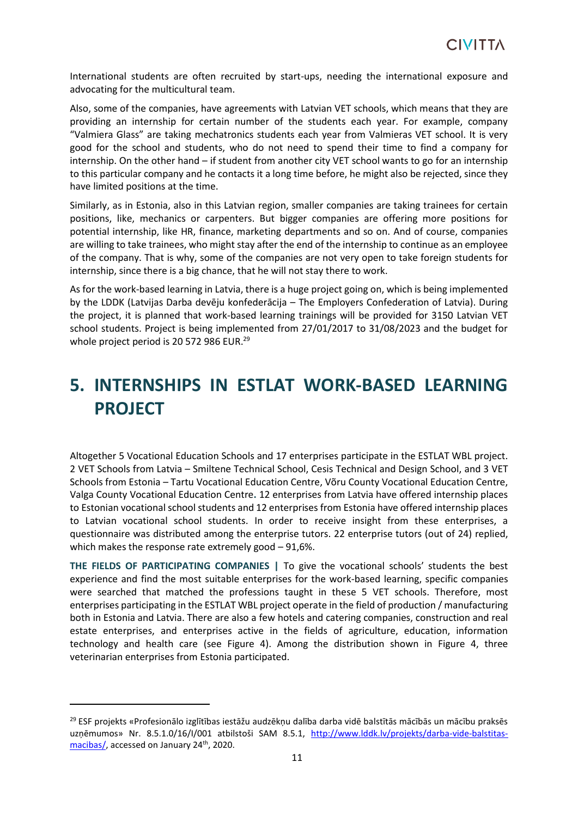International students are often recruited by start-ups, needing the international exposure and advocating for the multicultural team.

Also, some of the companies, have agreements with Latvian VET schools, which means that they are providing an internship for certain number of the students each year. For example, company "Valmiera Glass" are taking mechatronics students each year from Valmieras VET school. It is very good for the school and students, who do not need to spend their time to find a company for internship. On the other hand – if student from another city VET school wants to go for an internship to this particular company and he contacts it a long time before, he might also be rejected, since they have limited positions at the time.

Similarly, as in Estonia, also in this Latvian region, smaller companies are taking trainees for certain positions, like, mechanics or carpenters. But bigger companies are offering more positions for potential internship, like HR, finance, marketing departments and so on. And of course, companies are willing to take trainees, who might stay after the end of the internship to continue as an employee of the company. That is why, some of the companies are not very open to take foreign students for internship, since there is a big chance, that he will not stay there to work.

As for the work-based learning in Latvia, there is a huge project going on, which is being implemented by the LDDK (Latvijas Darba devēju konfederācija – The Employers Confederation of Latvia). During the project, it is planned that work-based learning trainings will be provided for 3150 Latvian VET school students. Project is being implemented from 27/01/2017 to 31/08/2023 and the budget for whole project period is 20 572 986 EUR.<sup>29</sup>

# <span id="page-10-0"></span>**5. INTERNSHIPS IN ESTLAT WORK-BASED LEARNING PROJECT**

Altogether 5 Vocational Education Schools and 17 enterprises participate in the ESTLAT WBL project. 2 VET Schools from Latvia – Smiltene Technical School, Cesis Technical and Design School, and 3 VET Schools from Estonia – Tartu Vocational Education Centre, Võru County Vocational Education Centre, Valga County Vocational Education Centre**.** 12 enterprises from Latvia have offered internship places to Estonian vocational school students and 12 enterprises from Estonia have offered internship places to Latvian vocational school students. In order to receive insight from these enterprises, a questionnaire was distributed among the enterprise tutors. 22 enterprise tutors (out of 24) replied, which makes the response rate extremely good – 91,6%.

**THE FIELDS OF PARTICIPATING COMPANIES |** To give the vocational schools' students the best experience and find the most suitable enterprises for the work-based learning, specific companies were searched that matched the professions taught in these 5 VET schools. Therefore, most enterprises participating in the ESTLAT WBL project operate in the field of production / manufacturing both in Estonia and Latvia. There are also a few hotels and catering companies, construction and real estate enterprises, and enterprises active in the fields of agriculture, education, information technology and health care (see Figure 4). Among the distribution shown in Figure 4, three veterinarian enterprises from Estonia participated.

<sup>29</sup> ESF projekts «Profesionālo izglītības iestāžu audzēkņu dalība darba vidē balstītās mācībās un mācību praksēs uzņēmumos» Nr. 8.5.1.0/16/I/001 atbilstoši SAM 8.5.1, [http://www.lddk.lv/projekts/darba-vide-balstitas](http://www.lddk.lv/projekts/darba-vide-balstitas-macibas/)[macibas/,](http://www.lddk.lv/projekts/darba-vide-balstitas-macibas/) accessed on January 24<sup>th</sup>, 2020.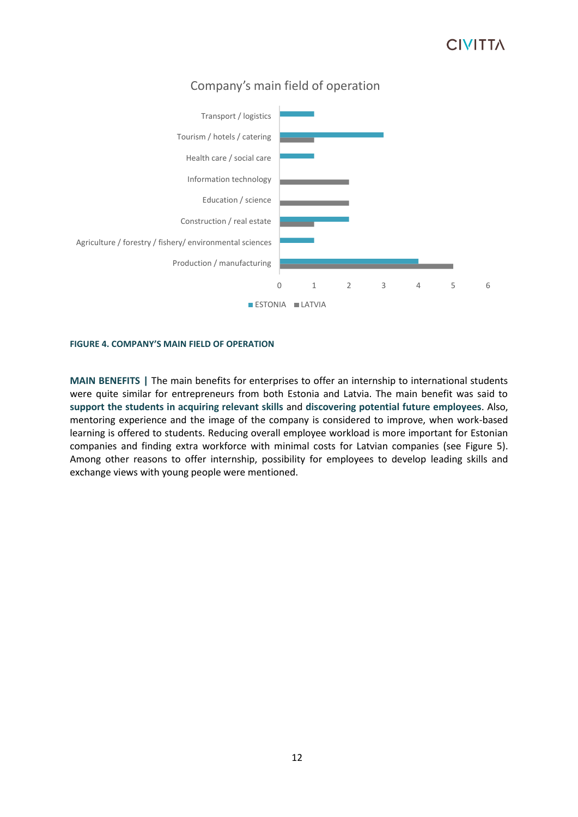

### Company's main field of operation

#### **FIGURE 4. COMPANY'S MAIN FIELD OF OPERATION**

**MAIN BENEFITS |** The main benefits for enterprises to offer an internship to international students were quite similar for entrepreneurs from both Estonia and Latvia. The main benefit was said to **support the students in acquiring relevant skills** and **discovering potential future employees**. Also, mentoring experience and the image of the company is considered to improve, when work-based learning is offered to students. Reducing overall employee workload is more important for Estonian companies and finding extra workforce with minimal costs for Latvian companies (see Figure 5). Among other reasons to offer internship, possibility for employees to develop leading skills and exchange views with young people were mentioned.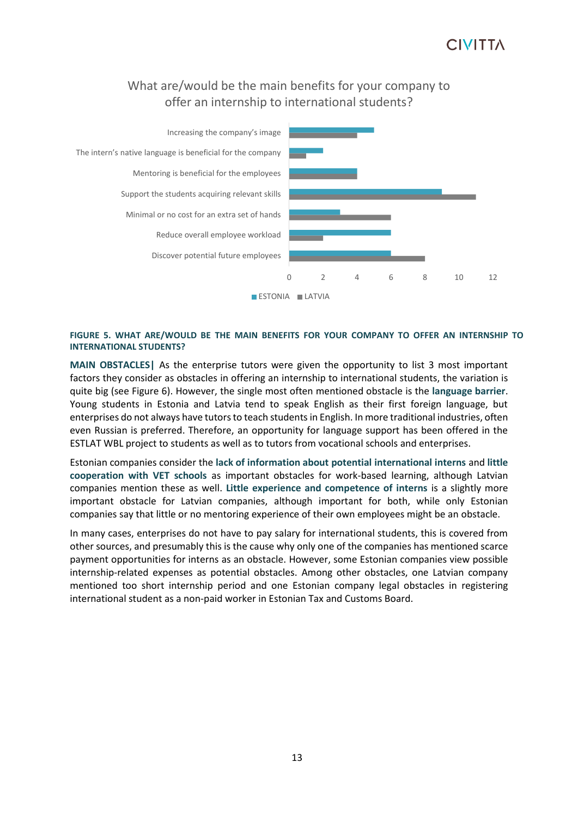### What are/would be the main benefits for your company to offer an internship to international students?



#### **FIGURE 5. WHAT ARE/WOULD BE THE MAIN BENEFITS FOR YOUR COMPANY TO OFFER AN INTERNSHIP TO INTERNATIONAL STUDENTS?**

**MAIN OBSTACLES|** As the enterprise tutors were given the opportunity to list 3 most important factors they consider as obstacles in offering an internship to international students, the variation is quite big (see Figure 6). However, the single most often mentioned obstacle is the **language barrier**. Young students in Estonia and Latvia tend to speak English as their first foreign language, but enterprises do not always have tutors to teach students in English. In more traditional industries, often even Russian is preferred. Therefore, an opportunity for language support has been offered in the ESTLAT WBL project to students as well as to tutors from vocational schools and enterprises.

Estonian companies consider the **lack of information about potential international interns** and **little cooperation with VET schools** as important obstacles for work-based learning, although Latvian companies mention these as well. **Little experience and competence of interns** is a slightly more important obstacle for Latvian companies, although important for both, while only Estonian companies say that little or no mentoring experience of their own employees might be an obstacle.

In many cases, enterprises do not have to pay salary for international students, this is covered from other sources, and presumably this is the cause why only one of the companies has mentioned scarce payment opportunities for interns as an obstacle. However, some Estonian companies view possible internship-related expenses as potential obstacles. Among other obstacles, one Latvian company mentioned too short internship period and one Estonian company legal obstacles in registering international student as a non-paid worker in Estonian Tax and Customs Board.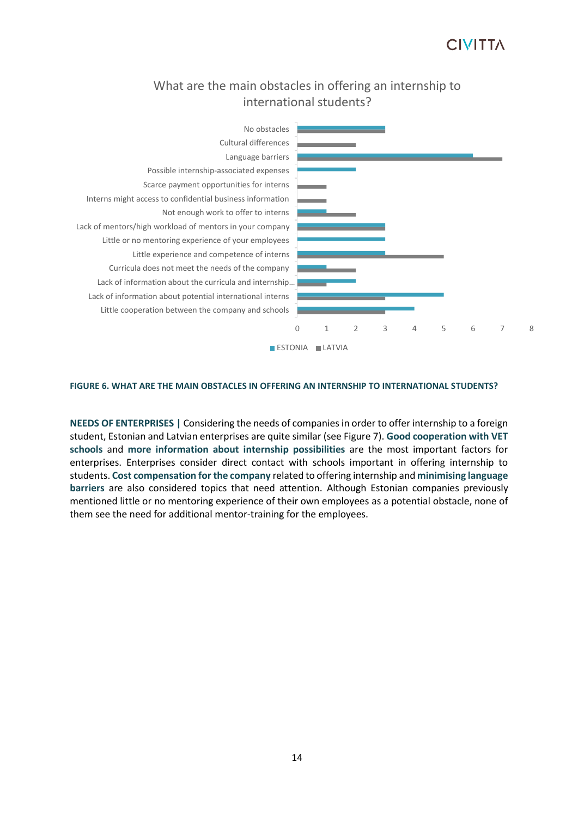### What are the main obstacles in offering an internship to international students?



#### **FIGURE 6. WHAT ARE THE MAIN OBSTACLES IN OFFERING AN INTERNSHIP TO INTERNATIONAL STUDENTS?**

**NEEDS OF ENTERPRISES |** Considering the needs of companies in order to offer internship to a foreign student, Estonian and Latvian enterprises are quite similar (see Figure 7). **Good cooperation with VET schools** and **more information about internship possibilities** are the most important factors for enterprises. Enterprises consider direct contact with schools important in offering internship to students. **Cost compensation for the company** related to offering internship and **minimising language barriers** are also considered topics that need attention. Although Estonian companies previously mentioned little or no mentoring experience of their own employees as a potential obstacle, none of them see the need for additional mentor-training for the employees.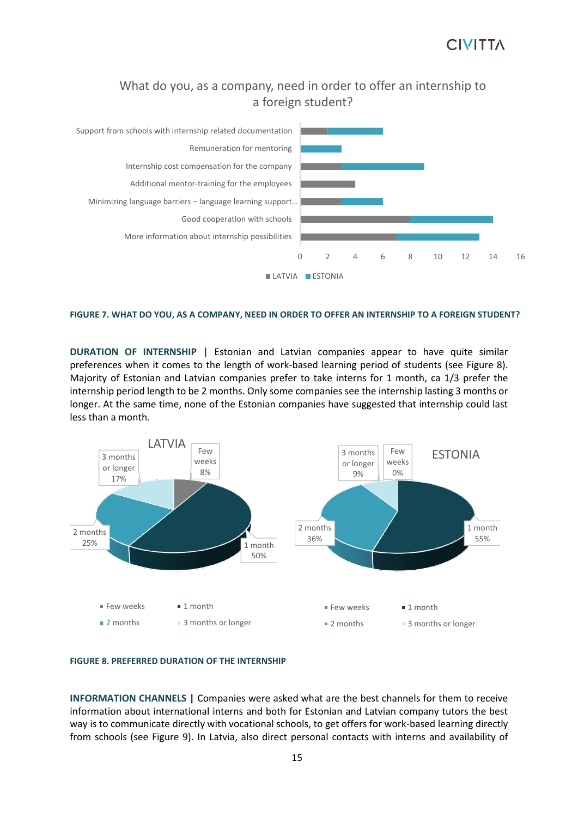### What do you, as a company, need in order to offer an internship to a foreign student?



#### **FIGURE 7. WHAT DO YOU, AS A COMPANY, NEED IN ORDER TO OFFER AN INTERNSHIP TO A FOREIGN STUDENT?**

**DURATION OF INTERNSHIP |** Estonian and Latvian companies appear to have quite similar preferences when it comes to the length of work-based learning period of students (see Figure 8). Majority of Estonian and Latvian companies prefer to take interns for 1 month, ca 1/3 prefer the internship period length to be 2 months. Only some companies see the internship lasting 3 months or longer. At the same time, none of the Estonian companies have suggested that internship could last less than a month.



#### **FIGURE 8. PREFERRED DURATION OF THE INTERNSHIP**

**INFORMATION CHANNELS |** Companies were asked what are the best channels for them to receive information about international interns and both for Estonian and Latvian company tutors the best way is to communicate directly with vocational schools, to get offers for work-based learning directly from schools (see Figure 9). In Latvia, also direct personal contacts with interns and availability of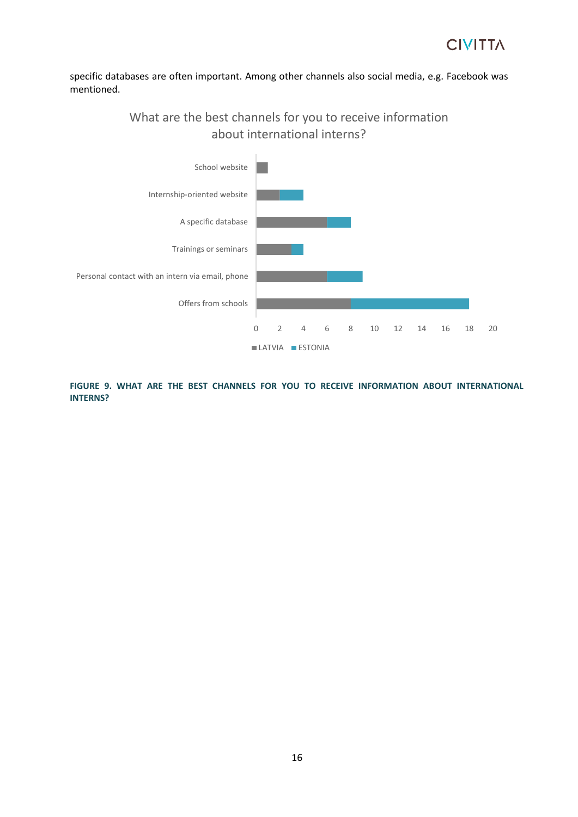specific databases are often important. Among other channels also social media, e.g. Facebook was mentioned.

> What are the best channels for you to receive information about international interns?



**FIGURE 9. WHAT ARE THE BEST CHANNELS FOR YOU TO RECEIVE INFORMATION ABOUT INTERNATIONAL INTERNS?**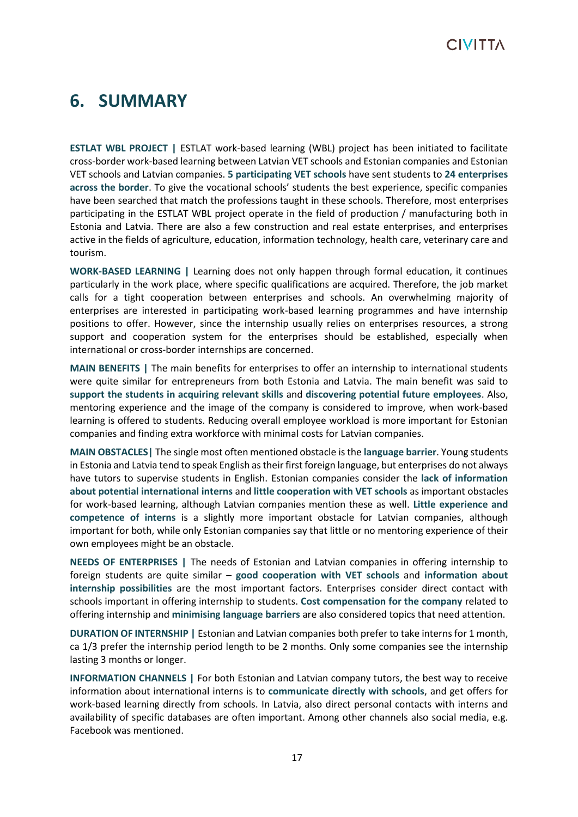# <span id="page-16-0"></span>**6. SUMMARY**

**ESTLAT WBL PROJECT |** ESTLAT work-based learning (WBL) project has been initiated to facilitate cross-border work-based learning between Latvian VET schools and Estonian companies and Estonian VET schools and Latvian companies. **5 participating VET schools** have sent students to **24 enterprises across the border**. To give the vocational schools' students the best experience, specific companies have been searched that match the professions taught in these schools. Therefore, most enterprises participating in the ESTLAT WBL project operate in the field of production / manufacturing both in Estonia and Latvia. There are also a few construction and real estate enterprises, and enterprises active in the fields of agriculture, education, information technology, health care, veterinary care and tourism.

**WORK-BASED LEARNING |** Learning does not only happen through formal education, it continues particularly in the work place, where specific qualifications are acquired. Therefore, the job market calls for a tight cooperation between enterprises and schools. An overwhelming majority of enterprises are interested in participating work-based learning programmes and have internship positions to offer. However, since the internship usually relies on enterprises resources, a strong support and cooperation system for the enterprises should be established, especially when international or cross-border internships are concerned.

**MAIN BENEFITS |** The main benefits for enterprises to offer an internship to international students were quite similar for entrepreneurs from both Estonia and Latvia. The main benefit was said to **support the students in acquiring relevant skills** and **discovering potential future employees**. Also, mentoring experience and the image of the company is considered to improve, when work-based learning is offered to students. Reducing overall employee workload is more important for Estonian companies and finding extra workforce with minimal costs for Latvian companies.

**MAIN OBSTACLES|** The single most often mentioned obstacle is the **language barrier**. Young students in Estonia and Latvia tend to speak English as their first foreign language, but enterprises do not always have tutors to supervise students in English. Estonian companies consider the **lack of information about potential international interns** and **little cooperation with VET schools** as important obstacles for work-based learning, although Latvian companies mention these as well. **Little experience and competence of interns** is a slightly more important obstacle for Latvian companies, although important for both, while only Estonian companies say that little or no mentoring experience of their own employees might be an obstacle.

**NEEDS OF ENTERPRISES |** The needs of Estonian and Latvian companies in offering internship to foreign students are quite similar – **good cooperation with VET schools** and **information about internship possibilities** are the most important factors. Enterprises consider direct contact with schools important in offering internship to students. **Cost compensation for the company** related to offering internship and **minimising language barriers** are also considered topics that need attention.

**DURATION OF INTERNSHIP |** Estonian and Latvian companies both prefer to take interns for 1 month, ca 1/3 prefer the internship period length to be 2 months. Only some companies see the internship lasting 3 months or longer.

**INFORMATION CHANNELS |** For both Estonian and Latvian company tutors, the best way to receive information about international interns is to **communicate directly with schools**, and get offers for work-based learning directly from schools. In Latvia, also direct personal contacts with interns and availability of specific databases are often important. Among other channels also social media, e.g. Facebook was mentioned.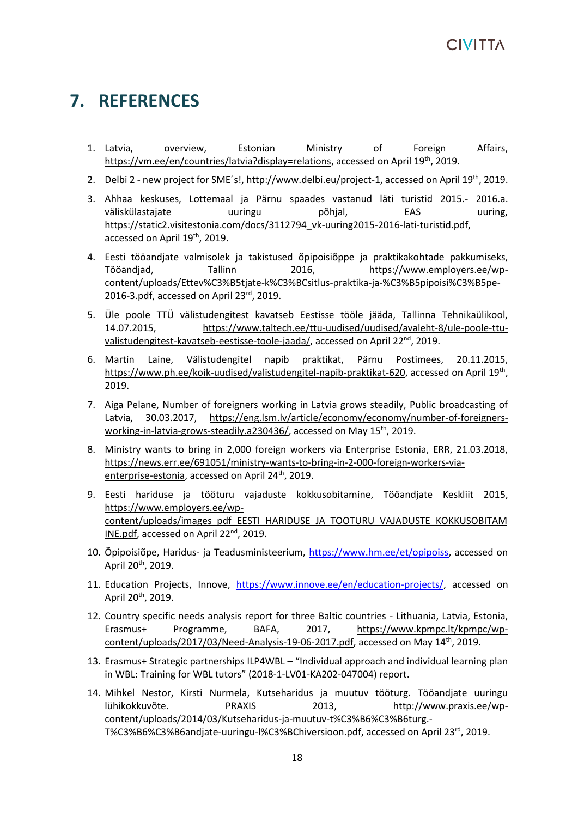# <span id="page-17-0"></span>**7. REFERENCES**

- 1. Latvia, overview, Estonian Ministry of Foreign Affairs, [https://vm.ee/en/countries/latvia?display=relations,](https://vm.ee/en/countries/latvia?display=relations) accessed on April 19th, 2019.
- 2. Delbi 2 new project for SME's![, http://www.delbi.eu/project-1,](http://www.delbi.eu/project-1) accessed on April 19<sup>th</sup>, 2019.
- 3. Ahhaa keskuses, Lottemaal ja Pärnu spaades vastanud läti turistid 2015.- 2016.a. väliskülastajate uuringu põhjal, EAS uuring, [https://static2.visitestonia.com/docs/3112794\\_vk-uuring2015-2016-lati-turistid.pdf,](https://static2.visitestonia.com/docs/3112794_vk-uuring2015-2016-lati-turistid.pdf) accessed on April 19<sup>th</sup>, 2019.
- 4. Eesti tööandjate valmisolek ja takistused õpipoisiõppe ja praktikakohtade pakkumiseks, Tööandjad, Tallinn 2016, [https://www.employers.ee/wp](https://www.employers.ee/wp-content/uploads/Ettev%C3%B5tjate-k%C3%BCsitlus-praktika-ja-%C3%B5pipoisi%C3%B5pe-2016-3.pdf)[content/uploads/Ettev%C3%B5tjate-k%C3%BCsitlus-praktika-ja-%C3%B5pipoisi%C3%B5pe-](https://www.employers.ee/wp-content/uploads/Ettev%C3%B5tjate-k%C3%BCsitlus-praktika-ja-%C3%B5pipoisi%C3%B5pe-2016-3.pdf)[2016-3.pdf,](https://www.employers.ee/wp-content/uploads/Ettev%C3%B5tjate-k%C3%BCsitlus-praktika-ja-%C3%B5pipoisi%C3%B5pe-2016-3.pdf) accessed on April 23rd, 2019.
- 5. Üle poole TTÜ välistudengitest kavatseb Eestisse tööle jääda, Tallinna Tehnikaülikool, 14.07.2015, [https://www.taltech.ee/ttu-uudised/uudised/avaleht-8/ule-poole-ttu](https://www.taltech.ee/ttu-uudised/uudised/avaleht-8/ule-poole-ttu-valistudengitest-kavatseb-eestisse-toole-jaada/)[valistudengitest-kavatseb-eestisse-toole-jaada/,](https://www.taltech.ee/ttu-uudised/uudised/avaleht-8/ule-poole-ttu-valistudengitest-kavatseb-eestisse-toole-jaada/) accessed on April 22<sup>nd</sup>, 2019.
- 6. Martin Laine, Välistudengitel napib praktikat, Pärnu Postimees, 20.11.2015, [https://www.ph.ee/koik-uudised/valistudengitel-napib-praktikat-620,](https://www.ph.ee/koik-uudised/valistudengitel-napib-praktikat-620) accessed on April 19<sup>th</sup>, 2019.
- 7. Aiga Pelane, Number of foreigners working in Latvia grows steadily, Public broadcasting of Latvia, 30.03.2017, [https://eng.lsm.lv/article/economy/economy/number-of-foreigners](https://eng.lsm.lv/article/economy/economy/number-of-foreigners-working-in-latvia-grows-steadily.a230436/)[working-in-latvia-grows-steadily.a230436/,](https://eng.lsm.lv/article/economy/economy/number-of-foreigners-working-in-latvia-grows-steadily.a230436/) accessed on May 15<sup>th</sup>, 2019.
- 8. Ministry wants to bring in 2,000 foreign workers via Enterprise Estonia, ERR, 21.03.2018, [https://news.err.ee/691051/ministry-wants-to-bring-in-2-000-foreign-workers-via](https://news.err.ee/691051/ministry-wants-to-bring-in-2-000-foreign-workers-via-enterprise-estonia)[enterprise-estonia,](https://news.err.ee/691051/ministry-wants-to-bring-in-2-000-foreign-workers-via-enterprise-estonia) accessed on April 24<sup>th</sup>, 2019.
- 9. Eesti hariduse ja tööturu vajaduste kokkusobitamine, Tööandjate Keskliit 2015, [https://www.employers.ee/wp](https://www.employers.ee/wp-content/uploads/images_pdf_EESTI_HARIDUSE_JA_TOOTURU_VAJADUSTE_KOKKUSOBITAMINE.pdf)[content/uploads/images\\_pdf\\_EESTI\\_HARIDUSE\\_JA\\_TOOTURU\\_VAJADUSTE\\_KOKKUSOBITAM](https://www.employers.ee/wp-content/uploads/images_pdf_EESTI_HARIDUSE_JA_TOOTURU_VAJADUSTE_KOKKUSOBITAMINE.pdf) [INE.pdf,](https://www.employers.ee/wp-content/uploads/images_pdf_EESTI_HARIDUSE_JA_TOOTURU_VAJADUSTE_KOKKUSOBITAMINE.pdf) accessed on April 22<sup>nd</sup>, 2019.
- 10. Õpipoisiõpe, Haridus- ja Teadusministeerium, [https://www.hm.ee/et/opipoiss,](https://www.hm.ee/et/opipoiss) accessed on April 20<sup>th</sup>, 2019.
- 11. Education Projects, Innove, [https://www.innove.ee/en/education-projects/,](https://www.innove.ee/en/education-projects/) accessed on April 20th, 2019.
- 12. Country specific needs analysis report for three Baltic countries Lithuania, Latvia, Estonia, Erasmus+ Programme, BAFA, 2017, [https://www.kpmpc.lt/kpmpc/wp](https://www.kpmpc.lt/kpmpc/wp-content/uploads/2017/03/Need-Analysis-19-06-2017.pdf)[content/uploads/2017/03/Need-Analysis-19-06-2017.pdf,](https://www.kpmpc.lt/kpmpc/wp-content/uploads/2017/03/Need-Analysis-19-06-2017.pdf) accessed on May 14th, 2019.
- 13. Erasmus+ Strategic partnerships ILP4WBL "Individual approach and individual learning plan in WBL: Training for WBL tutors" (2018-1-LV01-KA202-047004) report.
- 14. Mihkel Nestor, Kirsti Nurmela, Kutseharidus ja muutuv tööturg. Tööandjate uuringu lühikokkuvõte. PRAXIS 2013, [http://www.praxis.ee/wp](http://www.praxis.ee/wp-content/uploads/2014/03/Kutseharidus-ja-muutuv-t%C3%B6%C3%B6turg.-T%C3%B6%C3%B6andjate-uuringu-l%C3%BChiversioon.pdf)[content/uploads/2014/03/Kutseharidus-ja-muutuv-t%C3%B6%C3%B6turg.-](http://www.praxis.ee/wp-content/uploads/2014/03/Kutseharidus-ja-muutuv-t%C3%B6%C3%B6turg.-T%C3%B6%C3%B6andjate-uuringu-l%C3%BChiversioon.pdf) [T%C3%B6%C3%B6andjate-uuringu-l%C3%BChiversioon.pdf,](http://www.praxis.ee/wp-content/uploads/2014/03/Kutseharidus-ja-muutuv-t%C3%B6%C3%B6turg.-T%C3%B6%C3%B6andjate-uuringu-l%C3%BChiversioon.pdf) accessed on April 23rd, 2019.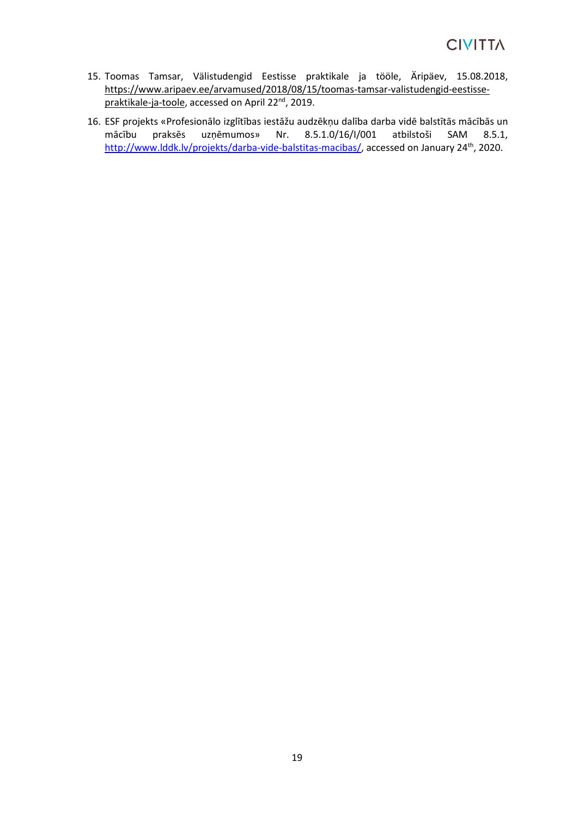- 15. [Toomas Tamsar, V](https://www.aripaev.ee/a/toomas-tamsar)älistudengid Eestisse praktikale ja tööle, Äripäev, 15.08.2018, [https://www.aripaev.ee/arvamused/2018/08/15/toomas-tamsar-valistudengid-eestisse](https://www.aripaev.ee/arvamused/2018/08/15/toomas-tamsar-valistudengid-eestisse-praktikale-ja-toole)[praktikale-ja-toole,](https://www.aripaev.ee/arvamused/2018/08/15/toomas-tamsar-valistudengid-eestisse-praktikale-ja-toole) accessed on April 22<sup>nd</sup>, 2019.
- 16. ESF projekts «Profesionālo izglītības iestāžu audzēkņu dalība darba vidē balstītās mācībās un mācību praksēs uzņēmumos» Nr. 8.5.1.0/16/I/001 atbilstoši SAM 8.5.1, [http://www.lddk.lv/projekts/darba-vide-balstitas-macibas/,](http://www.lddk.lv/projekts/darba-vide-balstitas-macibas/) accessed on January 24<sup>th</sup>, 2020.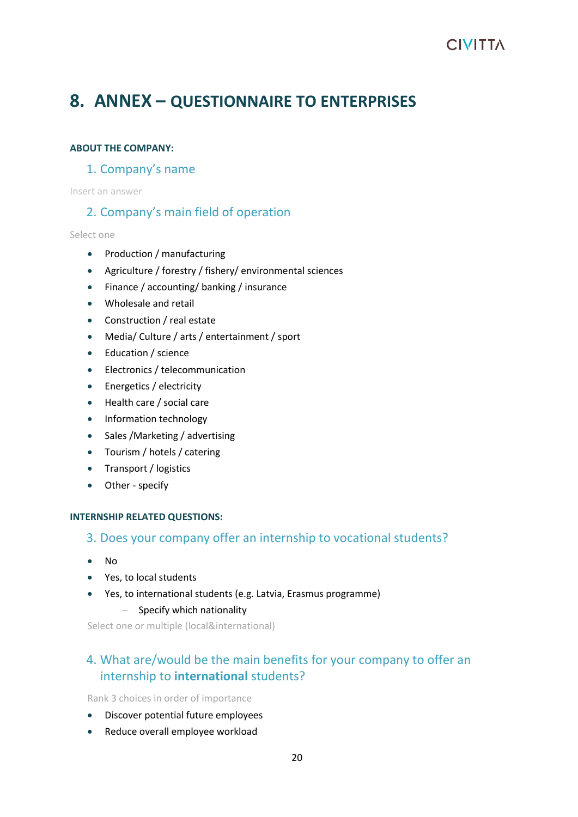## <span id="page-19-0"></span>**8. ANNEX – QUESTIONNAIRE TO ENTERPRISES**

#### **ABOUT THE COMPANY:**

#### 1. Company's name

Insert an answer

### 2. Company's main field of operation

Select one

- Production / manufacturing
- Agriculture / forestry / fishery/ environmental sciences
- Finance / accounting/ banking / insurance
- Wholesale and retail
- Construction / real estate
- Media/ Culture / arts / entertainment / sport
- Education / science
- Electronics / telecommunication
- Energetics / electricity
- Health care / social care
- Information technology
- Sales /Marketing / advertising
- Tourism / hotels / catering
- Transport / logistics
- Other specify

#### **INTERNSHIP RELATED QUESTIONS:**

#### 3. Does your company offer an internship to vocational students?

- No
- Yes, to local students
- Yes, to international students (e.g. Latvia, Erasmus programme)

#### ‒ Specify which nationality

Select one or multiple (local&international)

### 4. What are/would be the main benefits for your company to offer an internship to **international** students?

Rank 3 choices in order of importance

- Discover potential future employees
- Reduce overall employee workload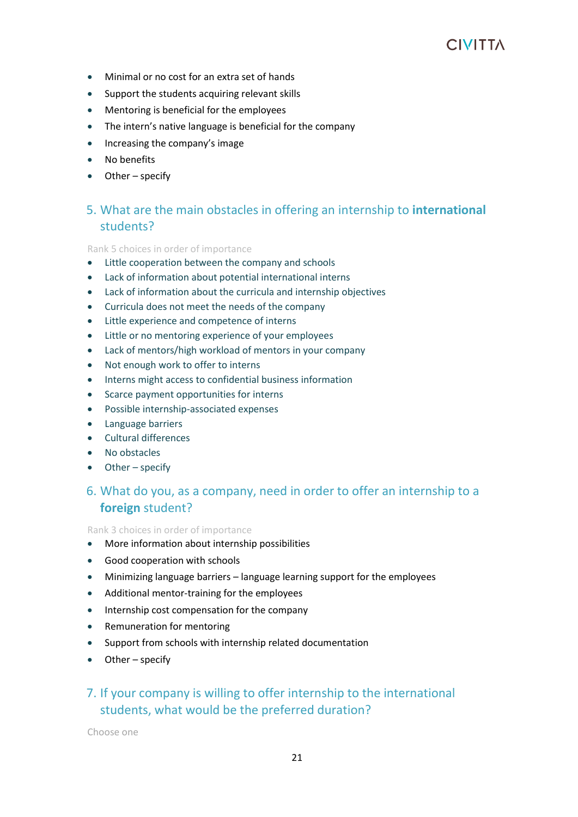- Minimal or no cost for an extra set of hands
- Support the students acquiring relevant skills
- Mentoring is beneficial for the employees
- The intern's native language is beneficial for the company
- Increasing the company's image
- No benefits
- Other specify

### 5. What are the main obstacles in offering an internship to **international**  students?

Rank 5 choices in order of importance

- Little cooperation between the company and schools
- Lack of information about potential international interns
- Lack of information about the curricula and internship objectives
- Curricula does not meet the needs of the company
- Little experience and competence of interns
- Little or no mentoring experience of your employees
- Lack of mentors/high workload of mentors in your company
- Not enough work to offer to interns
- Interns might access to confidential business information
- Scarce payment opportunities for interns
- Possible internship-associated expenses
- Language barriers
- Cultural differences
- No obstacles
- Other specify

### 6. What do you, as a company, need in order to offer an internship to a **foreign** student?

Rank 3 choices in order of importance

- More information about internship possibilities
- Good cooperation with schools
- Minimizing language barriers language learning support for the employees
- Additional mentor-training for the employees
- Internship cost compensation for the company
- Remuneration for mentoring
- Support from schools with internship related documentation
- Other specify

### 7. If your company is willing to offer internship to the international students, what would be the preferred duration?

Choose one